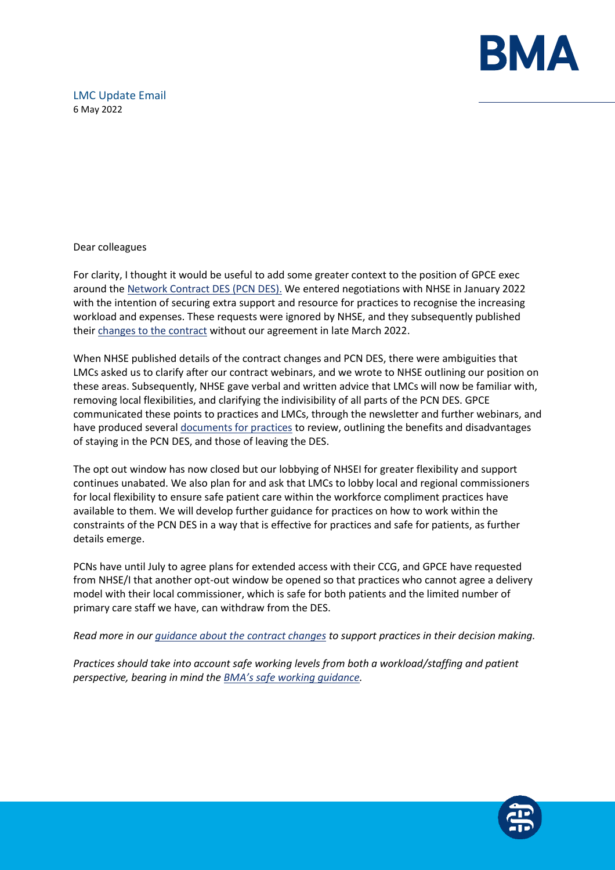

# LMC Update Email 6 May 2022

Dear colleagues

For clarity, I thought it would be useful to add some greater context to the position of GPCE exec around the [Network Contract DES \(PCN DES\).](https://www.england.nhs.uk/gp/investment/gp-contract/network-contract-directed-enhanced-service-des/) We entered negotiations with NHSE in January 2022 with the intention of securing extra support and resource for practices to recognise the increasing workload and expenses. These requests were ignored by NHSE, and they subsequently published thei[r changes to the contract](https://www.bma.org.uk/pay-and-contracts/contracts/gp-contract/gp-contract-changes-england-202223) without our agreement in late March 2022.

When NHSE published details of the contract changes and PCN DES, there were ambiguities that LMCs asked us to clarify after our contract webinars, and we wrote to NHSE outlining our position on these areas. Subsequently, NHSE gave verbal and written advice that LMCs will now be familiar with, removing local flexibilities, and clarifying the indivisibility of all parts of the PCN DES. GPCE communicated these points to practices and LMCs, through the newsletter and further webinars, and have produced severa[l documents for practices](https://www.bma.org.uk/pay-and-contracts/contracts/gp-contract/gp-contract-changes-england-202223) to review, outlining the benefits and disadvantages of staying in the PCN DES, and those of leaving the DES.

The opt out window has now closed but our lobbying of NHSEI for greater flexibility and support continues unabated. We also plan for and ask that LMCs to lobby local and regional commissioners for local flexibility to ensure safe patient care within the workforce compliment practices have available to them. We will develop further guidance for practices on how to work within the constraints of the PCN DES in a way that is effective for practices and safe for patients, as further details emerge.

PCNs have until July to agree plans for extended access with their CCG, and GPCE have requested from NHSE/I that another opt-out window be opened so that practices who cannot agree a delivery model with their local commissioner, which is safe for both patients and the limited number of primary care staff we have, can withdraw from the DES.

*Read more in our [guidance about the contract changes](https://www.bma.org.uk/pay-and-contracts/contracts/gp-contract/gp-contract-changes-england-202223) to support practices in their decision making.*

*Practices should take into account safe working levels from both a workload/staffing and patient perspective, bearing in mind the [BMA's safe working guidance](https://www.bma.org.uk/advice-and-support/gp-practices/managing-workload/safe-working-in-general-practice).* 

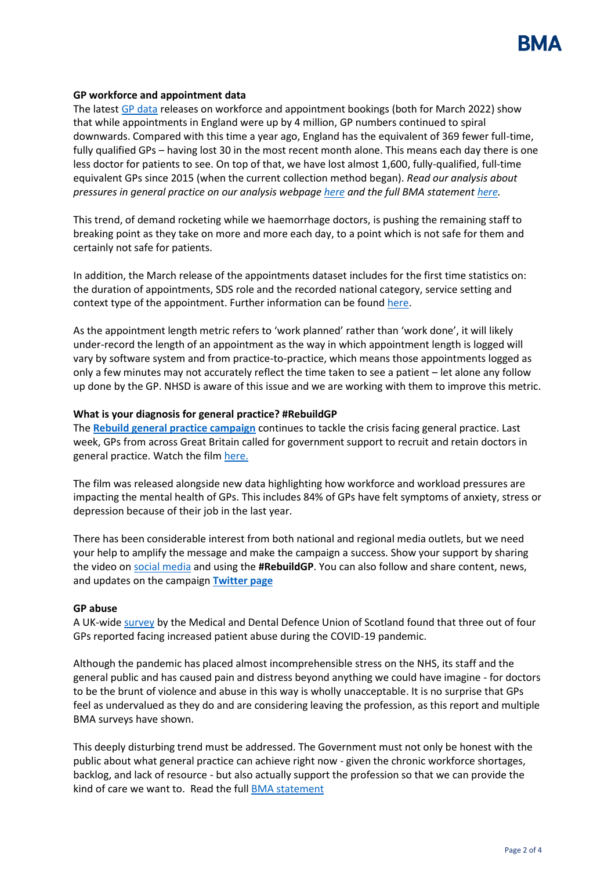

# **GP workforce and appointment data**

The latest GP [data](https://digital.nhs.uk/data-and-information/publications/statistical/appointments-in-general-practice/march-2022) releases on workforce and appointment bookings (both for March 2022) show that while appointments in England were up by 4 million, GP numbers continued to spiral downwards. Compared with this time a year ago, England has the equivalent of 369 fewer full-time, fully qualified GPs – having lost 30 in the most recent month alone. This means each day there is one less doctor for patients to see. On top of that, we have lost almost 1,600, fully-qualified, full-time equivalent GPs since 2015 (when the current collection method began). *Read our analysis about pressures in general practice on our analysis webpag[e here](https://www.bma.org.uk/advice-and-support/nhs-delivery-and-workforce/pressures/pressures-in-general-practice-data-analysis) and the full BMA statemen[t here.](https://www.bma.org.uk/bma-media-centre/millions-more-appointments-with-hundreds-fewer-gps-pushing-doctors-to-breaking-point-says-bma)*

This trend, of demand rocketing while we haemorrhage doctors, is pushing the remaining staff to breaking point as they take on more and more each day, to a point which is not safe for them and certainly not safe for patients.

In addition, the March release of the appointments dataset includes for the first time statistics on: the duration of appointments, SDS role and the recorded national category, service setting and context type of the appointment. Further information can be found [here.](https://digital.nhs.uk/data-and-information/publications/statistical/appointments-in-general-practice/march-2022)

As the appointment length metric refers to 'work planned' rather than 'work done', it will likely under-record the length of an appointment as the way in which appointment length is logged will vary by software system and from practice-to-practice, which means those appointments logged as only a few minutes may not accurately reflect the time taken to see a patient – let alone any follow up done by the GP. NHSD is aware of this issue and we are working with them to improve this metric.

# **What is your diagnosis for general practice? #RebuildGP**

The **[Rebuild general practice campaign](https://protect-eu.mimecast.com/s/Q8U5CX5WWfXNzVMh6p6wUn?domain=bma-mail.org.uk)** continues to tackle the crisis facing general practice. Last week, GPs from across Great Britain called for government support to recruit and retain doctors in general practice. Watch the film [here.](https://rebuildgp.co.uk/campaign-assets/video-the-diagnosis)

The film was released alongside new data highlighting how workforce and workload pressures are impacting the mental health of GPs. This includes 84% of GPs have felt symptoms of anxiety, stress or depression because of their job in the last year.

There has been considerable interest from both national and regional media outlets, but we need your help to amplify the message and make the campaign a success. Show your support by sharing the video o[n social media](https://twitter.com/rebuildgp) and using the **#RebuildGP**. You can also follow and share content, news, and updates on the campaign **[Twitter page](https://protect-eu.mimecast.com/s/uv4PCZ011t5RprotzrwGAQ?domain=bma-mail.org.uk)**

#### **GP abuse**

A UK-wide [survey](https://www.mddus.com/about-us/media-centre/2022/april/three-out-of-four-family-doctors-report-facing-increased-patient-abuse?domain=u22810944.ct.sendgrid.net) by the Medical and Dental Defence Union of Scotland found that three out of four GPs reported facing increased patient abuse during the COVID-19 pandemic.

Although the pandemic has placed almost incomprehensible stress on the NHS, its staff and the general public and has caused pain and distress beyond anything we could have imagine - for doctors to be the brunt of violence and abuse in this way is wholly unacceptable. It is no surprise that GPs feel as undervalued as they do and are considering leaving the profession, as this report and multiple BMA surveys have shown.

This deeply disturbing trend must be addressed. The Government must not only be honest with the public about what general practice can achieve right now - given the chronic workforce shortages, backlog, and lack of resource - but also actually support the profession so that we can provide the kind of care we want to. Read the full [BMA statement](https://www.bma.org.uk/bma-media-centre/patient-abuse-survey-highlights-a-deeply-disturbing-trend-in-general-practice-says-bma)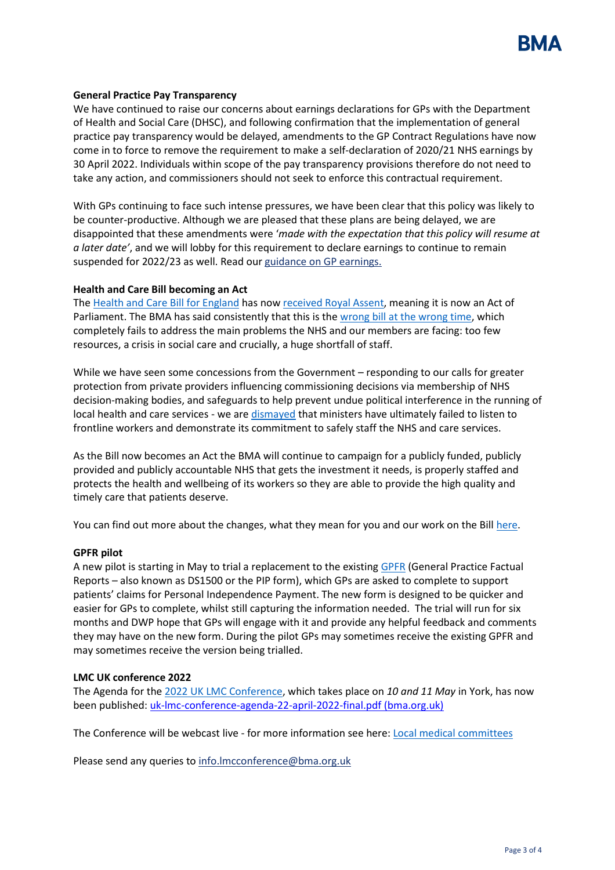

## **General Practice Pay Transparency**

We have continued to raise our concerns about earnings declarations for GPs with the Department of Health and Social Care (DHSC), and following confirmation that the implementation of general practice pay transparency would be delayed, amendments to the GP Contract Regulations have now come in to force to remove the requirement to make a self-declaration of 2020/21 NHS earnings by 30 April 2022. Individuals within scope of the pay transparency provisions therefore do not need to take any action, and commissioners should not seek to enforce this contractual requirement.

With GPs continuing to face such intense pressures, we have been clear that this policy was likely to be counter-productive. Although we are pleased that these plans are being delayed, we are disappointed that these amendments were '*made with the expectation that this policy will resume at a later date'*, and we will lobby for this requirement to declare earnings to continue to remain suspended for 2022/23 as well. Read our [guidance on GP earnings.](https://www.bma.org.uk/pay-and-contracts/pay/other-doctors-pay/declaring-gp-earnings-over-150-000)

#### **Health and Care Bill becoming an Act**

The [Health and Care Bill for England](https://www.parliament.uk/business/news/2021/november-2021/lords-debates-health-and-care-bill/) has now [received Royal Assent,](https://www.gov.uk/government/news/health-and-care-bill-granted-royal-assent-in-milestone-for-healthcare-recovery-and-reform) meaning it is now an Act of Parliament. The BMA has said consistently that this is the [wrong bill at the wrong time,](https://www.bma.org.uk/bma-media-centre/wrong-bill-at-the-wrong-time-bma-council-calls-on-mps-to-reject-health-and-care-bill) which completely fails to address the main problems the NHS and our members are facing: too few resources, a crisis in social care and crucially, a huge shortfall of staff.

While we have seen some concessions from the Government – responding to our calls for greater protection from private providers influencing commissioning decisions via membership of NHS decision-making bodies, and safeguards to help prevent undue political interference in the running of local health and care services - we are [dismayed](https://www.bma.org.uk/bma-media-centre/bma-utterly-dismayed-as-health-and-care-bill-passes-without-workforce-guarantees) that ministers have ultimately failed to listen to frontline workers and demonstrate its commitment to safely staff the NHS and care services.

As the Bill now becomes an Act the BMA will continue to campaign for a publicly funded, publicly provided and publicly accountable NHS that gets the investment it needs, is properly staffed and protects the health and wellbeing of its workers so they are able to provide the high quality and timely care that patients deserve.

You can find out more about the changes, what they mean for you and our work on the Bill [here.](https://www.bma.org.uk/advice-and-support/nhs-delivery-and-workforce/integration/the-health-and-care-act)

#### **GPFR pilot**

A new pilot is starting in May to trial a replacement to the existin[g GPFR](https://www.gov.uk/government/publications/dwp-factual-medical-reports-guidance-for-healthcare-professionals/dwp-medical-factual-reports-a-guide-to-completion) (General Practice Factual Reports – also known as DS1500 or the PIP form), which GPs are asked to complete to support patients' claims for Personal Independence Payment. The new form is designed to be quicker and easier for GPs to complete, whilst still capturing the information needed. The trial will run for six months and DWP hope that GPs will engage with it and provide any helpful feedback and comments they may have on the new form. During the pilot GPs may sometimes receive the existing GPFR and may sometimes receive the version being trialled.

#### **LMC UK conference 2022**

The Agenda for the [2022 UK LMC Conference,](https://www.bma.org.uk/what-we-do/local-medical-committees) which takes place on *10 and 11 May* in York, has now been published: [uk-lmc-conference-agenda-22-april-2022-final.pdf \(bma.org.uk\)](https://www.bma.org.uk/media/5564/uk-lmc-conference-agenda-22-april-2022-final.pdf)

The Conference will be webcast live - for more information see here: [Local medical committees](https://www.bma.org.uk/what-we-do/local-medical-committees)

Please send any queries to info.Imcconference@bma.org.uk